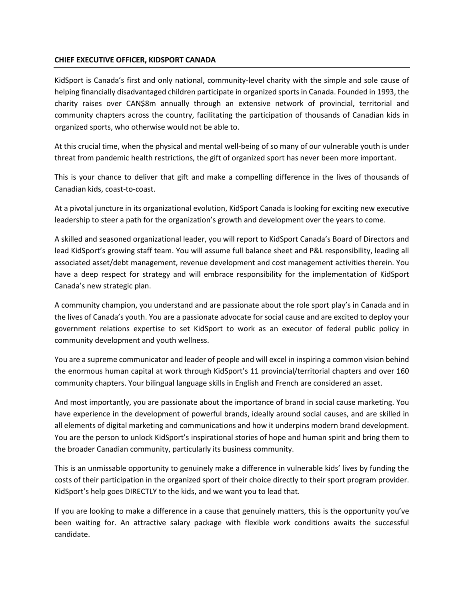## **CHIEF EXECUTIVE OFFICER, KIDSPORT CANADA**

KidSport is Canada's first and only national, community-level charity with the simple and sole cause of helping financially disadvantaged children participate in organized sports in Canada. Founded in 1993, the charity raises over CAN\$8m annually through an extensive network of provincial, territorial and community chapters across the country, facilitating the participation of thousands of Canadian kids in organized sports, who otherwise would not be able to.

At this crucial time, when the physical and mental well-being of so many of our vulnerable youth is under threat from pandemic health restrictions, the gift of organized sport has never been more important.

This is your chance to deliver that gift and make a compelling difference in the lives of thousands of Canadian kids, coast-to-coast.

At a pivotal juncture in its organizational evolution, KidSport Canada is looking for exciting new executive leadership to steer a path for the organization's growth and development over the years to come.

A skilled and seasoned organizational leader, you will report to KidSport Canada's Board of Directors and lead KidSport's growing staff team. You will assume full balance sheet and P&L responsibility, leading all associated asset/debt management, revenue development and cost management activities therein. You have a deep respect for strategy and will embrace responsibility for the implementation of KidSport Canada's new strategic plan.

A community champion, you understand and are passionate about the role sport play's in Canada and in the lives of Canada's youth. You are a passionate advocate for social cause and are excited to deploy your government relations expertise to set KidSport to work as an executor of federal public policy in community development and youth wellness.

You are a supreme communicator and leader of people and will excel in inspiring a common vision behind the enormous human capital at work through KidSport's 11 provincial/territorial chapters and over 160 community chapters. Your bilingual language skills in English and French are considered an asset.

And most importantly, you are passionate about the importance of brand in social cause marketing. You have experience in the development of powerful brands, ideally around social causes, and are skilled in all elements of digital marketing and communications and how it underpins modern brand development. You are the person to unlock KidSport's inspirational stories of hope and human spirit and bring them to the broader Canadian community, particularly its business community.

This is an unmissable opportunity to genuinely make a difference in vulnerable kids' lives by funding the costs of their participation in the organized sport of their choice directly to their sport program provider. KidSport's help goes DIRECTLY to the kids, and we want you to lead that.

If you are looking to make a difference in a cause that genuinely matters, this is the opportunity you've been waiting for. An attractive salary package with flexible work conditions awaits the successful candidate.